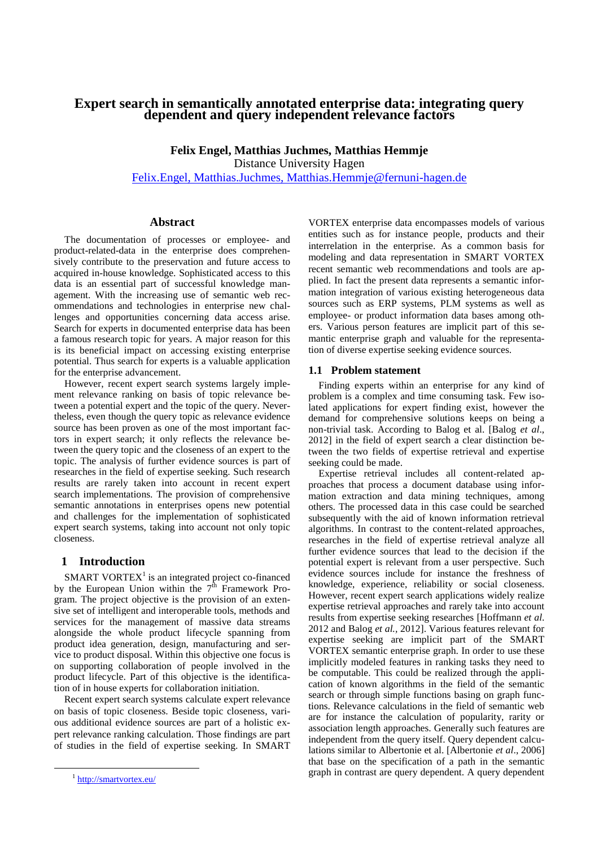# **Expert search in semantically annotated enterprise data: integrating query dependent and query independent relevance factors**

**Felix Engel, Matthias Juchmes, Matthias Hemmje** Distance University Hagen [Felix.Engel, Matthias.Juchmes, Matthias.Hemmje@fernuni-hagen.de](mailto:Felix.Engel,%20Matthias.Juchmes,%20Matthias.Hemmje@fernuni-hagen.de)

#### **Abstract**

The documentation of processes or employee- and product-related-data in the enterprise does comprehensively contribute to the preservation and future access to acquired in-house knowledge. Sophisticated access to this data is an essential part of successful knowledge management. With the increasing use of semantic web recommendations and technologies in enterprise new challenges and opportunities concerning data access arise. Search for experts in documented enterprise data has been a famous research topic for years. A major reason for this is its beneficial impact on accessing existing enterprise potential. Thus search for experts is a valuable application for the enterprise advancement.

However, recent expert search systems largely implement relevance ranking on basis of topic relevance between a potential expert and the topic of the query. Nevertheless, even though the query topic as relevance evidence source has been proven as one of the most important factors in expert search; it only reflects the relevance between the query topic and the closeness of an expert to the topic. The analysis of further evidence sources is part of researches in the field of expertise seeking. Such research results are rarely taken into account in recent expert search implementations. The provision of comprehensive semantic annotations in enterprises opens new potential and challenges for the implementation of sophisticated expert search systems, taking into account not only topic closeness.

### **1 Introduction**

SMART VORTEX $<sup>1</sup>$  is an integrated project co-financed</sup> by the European Union within the  $7<sup>th</sup>$  Framework Program. The project objective is the provision of an extensive set of intelligent and interoperable tools, methods and services for the management of massive data streams alongside the whole product lifecycle spanning from product idea generation, design, manufacturing and service to product disposal. Within this objective one focus is on supporting collaboration of people involved in the product lifecycle. Part of this objective is the identification of in house experts for collaboration initiation.

Recent expert search systems calculate expert relevance on basis of topic closeness. Beside topic closeness, various additional evidence sources are part of a holistic expert relevance ranking calculation. Those findings are part of studies in the field of expertise seeking. In SMART

 $\overline{a}$ 

VORTEX enterprise data encompasses models of various entities such as for instance people, products and their interrelation in the enterprise. As a common basis for modeling and data representation in SMART VORTEX recent semantic web recommendations and tools are applied. In fact the present data represents a semantic information integration of various existing heterogeneous data sources such as ERP systems, PLM systems as well as employee- or product information data bases among others. Various person features are implicit part of this semantic enterprise graph and valuable for the representation of diverse expertise seeking evidence sources.

#### **1.1 Problem statement**

Finding experts within an enterprise for any kind of problem is a complex and time consuming task. Few isolated applications for expert finding exist, however the demand for comprehensive solutions keeps on being a non-trivial task. According to Balog et al. [Balog *et al*., 2012] in the field of expert search a clear distinction between the two fields of expertise retrieval and expertise seeking could be made.

Expertise retrieval includes all content-related approaches that process a document database using information extraction and data mining techniques, among others. The processed data in this case could be searched subsequently with the aid of known information retrieval algorithms. In contrast to the content-related approaches, researches in the field of expertise retrieval analyze all further evidence sources that lead to the decision if the potential expert is relevant from a user perspective. Such evidence sources include for instance the freshness of knowledge, experience, reliability or social closeness. However, recent expert search applications widely realize expertise retrieval approaches and rarely take into account results from expertise seeking researches [Hoffmann *et al*. 2012 and Balog *et al.,* 2012]. Various features relevant for expertise seeking are implicit part of the SMART VORTEX semantic enterprise graph. In order to use these implicitly modeled features in ranking tasks they need to be computable. This could be realized through the application of known algorithms in the field of the semantic search or through simple functions basing on graph functions. Relevance calculations in the field of semantic web are for instance the calculation of popularity, rarity or association length approaches. Generally such features are independent from the query itself. Query dependent calculations similar to Albertonie et al. [Albertonie *et al*., 2006] that base on the specification of a path in the semantic graph in contrast are query dependent. A query dependent

<sup>&</sup>lt;sup>1</sup> <http://smartvortex.eu/>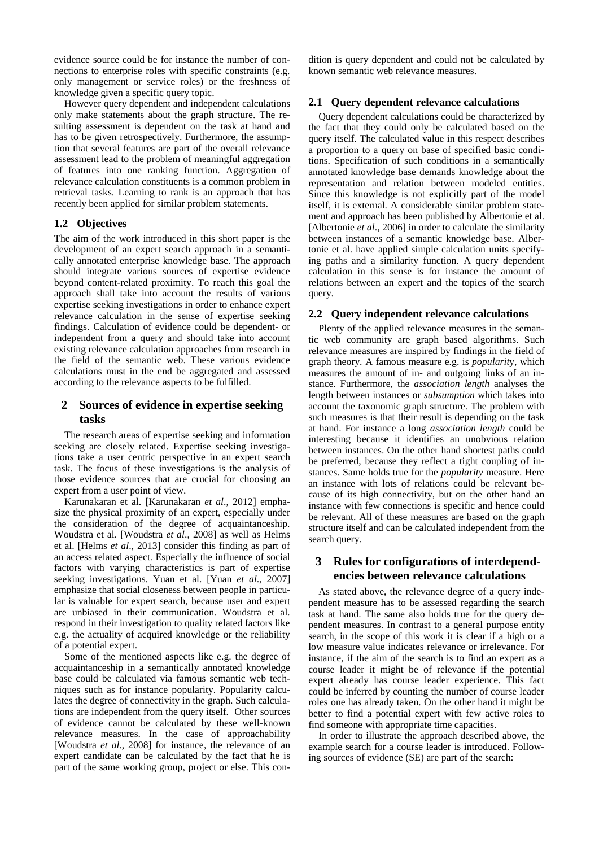evidence source could be for instance the number of connections to enterprise roles with specific constraints (e.g. only management or service roles) or the freshness of knowledge given a specific query topic.

However query dependent and independent calculations only make statements about the graph structure. The resulting assessment is dependent on the task at hand and has to be given retrospectively. Furthermore, the assumption that several features are part of the overall relevance assessment lead to the problem of meaningful aggregation of features into one ranking function. Aggregation of relevance calculation constituents is a common problem in retrieval tasks. Learning to rank is an approach that has recently been applied for similar problem statements.

## **1.2 Objectives**

The aim of the work introduced in this short paper is the development of an expert search approach in a semantically annotated enterprise knowledge base. The approach should integrate various sources of expertise evidence beyond content-related proximity. To reach this goal the approach shall take into account the results of various expertise seeking investigations in order to enhance expert relevance calculation in the sense of expertise seeking findings. Calculation of evidence could be dependent- or independent from a query and should take into account existing relevance calculation approaches from research in the field of the semantic web. These various evidence calculations must in the end be aggregated and assessed according to the relevance aspects to be fulfilled.

# **2 Sources of evidence in expertise seeking tasks**

The research areas of expertise seeking and information seeking are closely related. Expertise seeking investigations take a user centric perspective in an expert search task. The focus of these investigations is the analysis of those evidence sources that are crucial for choosing an expert from a user point of view.

Karunakaran et al. [Karunakaran *et al*., 2012] emphasize the physical proximity of an expert, especially under the consideration of the degree of acquaintanceship. Woudstra et al. [Woudstra *et al*., 2008] as well as Helms et al. [Helms *et al*., 2013] consider this finding as part of an access related aspect. Especially the influence of social factors with varying characteristics is part of expertise seeking investigations. Yuan et al. [Yuan *et al*., 2007] emphasize that social closeness between people in particular is valuable for expert search, because user and expert are unbiased in their communication. Woudstra et al. respond in their investigation to quality related factors like e.g. the actuality of acquired knowledge or the reliability of a potential expert.

Some of the mentioned aspects like e.g. the degree of acquaintanceship in a semantically annotated knowledge base could be calculated via famous semantic web techniques such as for instance popularity. Popularity calculates the degree of connectivity in the graph. Such calculations are independent from the query itself. Other sources of evidence cannot be calculated by these well-known relevance measures. In the case of approachability [Woudstra *et al*., 2008] for instance, the relevance of an expert candidate can be calculated by the fact that he is part of the same working group, project or else. This condition is query dependent and could not be calculated by known semantic web relevance measures.

#### **2.1 Query dependent relevance calculations**

Query dependent calculations could be characterized by the fact that they could only be calculated based on the query itself. The calculated value in this respect describes a proportion to a query on base of specified basic conditions. Specification of such conditions in a semantically annotated knowledge base demands knowledge about the representation and relation between modeled entities. Since this knowledge is not explicitly part of the model itself, it is external. A considerable similar problem statement and approach has been published by Albertonie et al. [Albertonie *et al*., 2006] in order to calculate the similarity between instances of a semantic knowledge base. Albertonie et al. have applied simple calculation units specifying paths and a similarity function. A query dependent calculation in this sense is for instance the amount of relations between an expert and the topics of the search query.

#### **2.2 Query independent relevance calculations**

Plenty of the applied relevance measures in the semantic web community are graph based algorithms. Such relevance measures are inspired by findings in the field of graph theory. A famous measure e.g. is *popularit*y, which measures the amount of in- and outgoing links of an instance. Furthermore, the *association length* analyses the length between instances or *subsumption* which takes into account the taxonomic graph structure. The problem with such measures is that their result is depending on the task at hand. For instance a long *association length* could be interesting because it identifies an unobvious relation between instances. On the other hand shortest paths could be preferred, because they reflect a tight coupling of instances. Same holds true for the *popularity* measure. Here an instance with lots of relations could be relevant because of its high connectivity, but on the other hand an instance with few connections is specific and hence could be relevant. All of these measures are based on the graph structure itself and can be calculated independent from the search query.

## **3 Rules for configurations of interdependencies between relevance calculations**

As stated above, the relevance degree of a query independent measure has to be assessed regarding the search task at hand. The same also holds true for the query dependent measures. In contrast to a general purpose entity search, in the scope of this work it is clear if a high or a low measure value indicates relevance or irrelevance. For instance, if the aim of the search is to find an expert as a course leader it might be of relevance if the potential expert already has course leader experience. This fact could be inferred by counting the number of course leader roles one has already taken. On the other hand it might be better to find a potential expert with few active roles to find someone with appropriate time capacities.

In order to illustrate the approach described above, the example search for a course leader is introduced. Following sources of evidence (SE) are part of the search: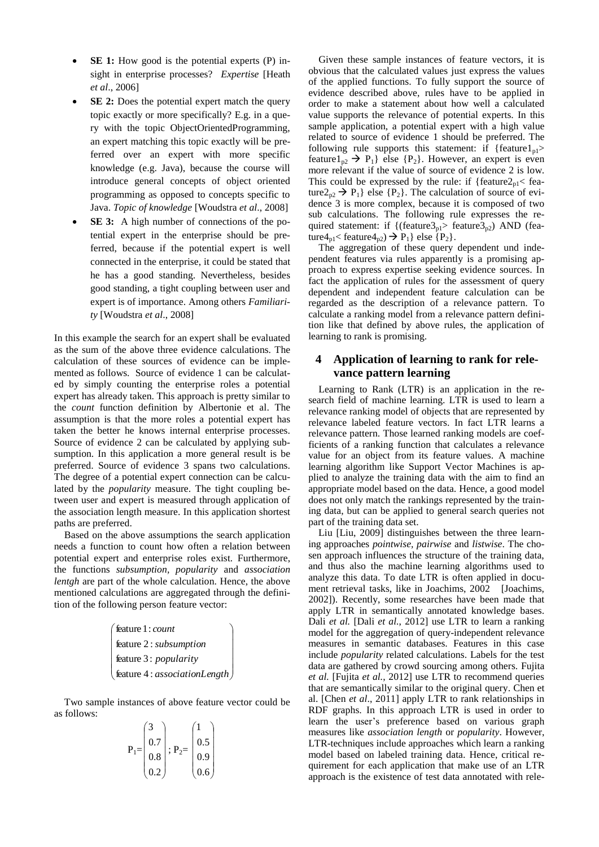- **SE 1:** How good is the potential experts (P) insight in enterprise processes? *Expertise* [Heath *et al*., 2006]
- **SE 2:** Does the potential expert match the query topic exactly or more specifically? E.g. in a query with the topic ObjectOrientedProgramming, an expert matching this topic exactly will be preferred over an expert with more specific knowledge (e.g. Java), because the course will introduce general concepts of object oriented programming as opposed to concepts specific to Java. *Topic of knowledge* [Woudstra *et al*., 2008]
- **SE 3:** A high number of connections of the potential expert in the enterprise should be preferred, because if the potential expert is well connected in the enterprise, it could be stated that he has a good standing. Nevertheless, besides good standing, a tight coupling between user and expert is of importance. Among others *Familiarity* [Woudstra *et al*., 2008]

In this example the search for an expert shall be evaluated as the sum of the above three evidence calculations. The calculation of these sources of evidence can be implemented as follows. Source of evidence 1 can be calculated by simply counting the enterprise roles a potential expert has already taken. This approach is pretty similar to the *count* function definition by Albertonie et al. The assumption is that the more roles a potential expert has taken the better he knows internal enterprise processes. Source of evidence 2 can be calculated by applying subsumption. In this application a more general result is be preferred. Source of evidence 3 spans two calculations. The degree of a potential expert connection can be calculated by the *popularity* measure. The tight coupling between user and expert is measured through application of the association length measure. In this application shortest paths are preferred.

Based on the above assumptions the search application needs a function to count how often a relation between potential expert and enterprise roles exist. Furthermore, the functions *subsumption, popularity* and *association lentgh* are part of the whole calculation. Hence, the above mentioned calculations are aggregated through the definition of the following person feature vector:

> $\overline{\phantom{a}}$  $\overline{\phantom{a}}$ | *associationLength* feature 4 :  $\backslash$ I L  $\mathbb{I}$ L  $\mathbf{I}$  *count* feature1: *popularity* feature 3: *subsumption* feature 2 :

Two sample instances of above feature vector could be as follows:

$$
P_1 = \begin{pmatrix} 3 \\ 0.7 \\ 0.8 \\ 0.2 \end{pmatrix}; P_2 = \begin{pmatrix} 1 \\ 0.5 \\ 0.9 \\ 0.6 \end{pmatrix}
$$

Given these sample instances of feature vectors, it is obvious that the calculated values just express the values of the applied functions. To fully support the source of evidence described above, rules have to be applied in order to make a statement about how well a calculated value supports the relevance of potential experts. In this sample application, a potential expert with a high value related to source of evidence 1 should be preferred. The following rule supports this statement: if {feature1 $_{p1}$ > feature1<sub>p2</sub>  $\rightarrow$  P<sub>1</sub>} else {P<sub>2</sub>}. However, an expert is even more relevant if the value of source of evidence 2 is low. This could be expressed by the rule: if  ${feature2_{pl} <}$  feature $2_{p2} \rightarrow P_1$ } else {P<sub>2</sub>}. The calculation of source of evidence 3 is more complex, because it is composed of two sub calculations. The following rule expresses the required statement: if  $\{(\text{feature3}_{p1} > \text{feature3}_{p2}) \text{ AND } (\text{fea-}$ ture $4_{\text{pl}}$  < feature $4_{\text{p2}}$ )  $\rightarrow$  P<sub>1</sub>} else {P<sub>2</sub>}.

The aggregation of these query dependent und independent features via rules apparently is a promising approach to express expertise seeking evidence sources. In fact the application of rules for the assessment of query dependent and independent feature calculation can be regarded as the description of a relevance pattern. To calculate a ranking model from a relevance pattern definition like that defined by above rules, the application of learning to rank is promising.

# **4 Application of learning to rank for relevance pattern learning**

Learning to Rank (LTR) is an application in the research field of machine learning. LTR is used to learn a relevance ranking model of objects that are represented by relevance labeled feature vectors. In fact LTR learns a relevance pattern. Those learned ranking models are coefficients of a ranking function that calculates a relevance value for an object from its feature values. A machine learning algorithm like Support Vector Machines is applied to analyze the training data with the aim to find an appropriate model based on the data. Hence, a good model does not only match the rankings represented by the training data, but can be applied to general search queries not part of the training data set.

Liu [Liu, 2009] distinguishes between the three learning approaches *pointwise, pairwise* and *listwise*. The chosen approach influences the structure of the training data, and thus also the machine learning algorithms used to analyze this data. To date LTR is often applied in document retrieval tasks, like in Joachims, 2002 [Joachims, 2002]). Recently, some researches have been made that apply LTR in semantically annotated knowledge bases. Dali *et al.* [Dali *et al.*, 2012] use LTR to learn a ranking model for the aggregation of query-independent relevance measures in semantic databases. Features in this case include *popularity* related calculations. Labels for the test data are gathered by crowd sourcing among others. Fujita *et al.* [Fujita *et al.*, 2012] use LTR to recommend queries that are semantically similar to the original query. Chen et al. [Chen *et al*., 2011] apply LTR to rank relationships in RDF graphs. In this approach LTR is used in order to learn the user's preference based on various graph measures like *association length* or *popularity*. However, LTR-techniques include approaches which learn a ranking model based on labeled training data. Hence, critical requirement for each application that make use of an LTR approach is the existence of test data annotated with rele